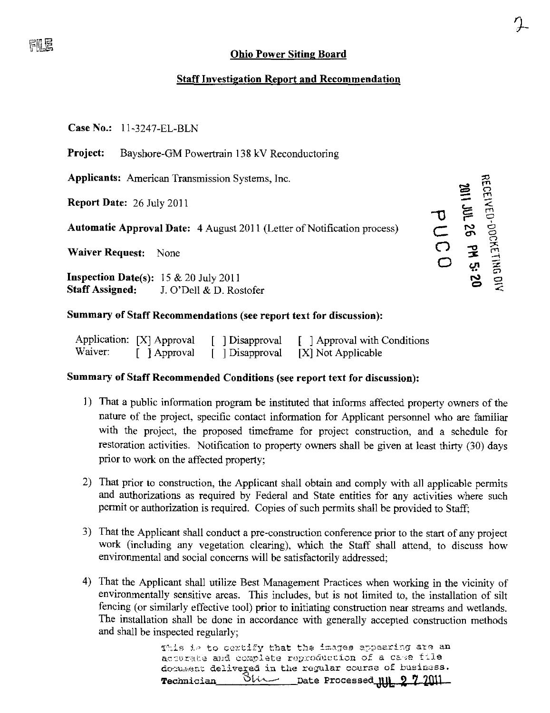### Ohio Power Siting Board

 $\gamma$  $\boldsymbol{\tau}$ 

 $-5.5$ 

### Staff Investigation Report and Recommendation

Case No.: 11-3247-EL-BLN

Project: Bayshore-GM Powertrain 138 kV Reconductoring

Applicants: American Transmission Systems, Inc. ^

Report Date: 26 July 2011

 $A$   $A$   $A$   $B$   $C$   $C$   $A$   $C$   $D$   $D$   $C$ 

Waiver Request: None  $\bigcirc$   $\mathcal{P}$   $\mathcal{F}$ 

**Inspection Date(s):**  $15 \& 20$  July 2011<br>**Staff Assigned:** J. O'Dell & D. Ro: Staff Assigned: J. O'Dell & D. Rostofer  $\leq$ 

## Summary of Staff Recommendations (see report text for discussion):

|         | Application: [X] Approval | [ Disapproval | $\lceil \cdot \rceil$ Approval with Conditions |
|---------|---------------------------|---------------|------------------------------------------------|
| Waiver: | Approval                  | Disapproval   | [X] Not Applicable                             |

#### Summary of Staff Recommended Conditions (see report text for discussion):

- 1) That a public information program be instituted that informs affected property owners of the nature of the project, specific contact information for Applicant personnel who are familiar with the project, the proposed timeframe for project construction, and a schedule for restoration activities. Notification to property owners shall be given at least thirty (30) days prior to work on the affected property;
- 2) That prior to construction, the Applicant shall obtain and comply with all applicable permits and authorizations as required by Federal and State entities for any activities where such permit or authorization is required. Copies of such permits shall be provided to Staff;
- 3) That the Applicant shall conduct a pre-construction conference prior to the start of any project work (including any vegetation clearing), which the Staff shall attend, to discuss how environmental and social concerns will be satisfactorily addressed;
- 4) That the Applicant shall utilize Best Management Practices when working in the vicinity of environmentally sensitive areas. This includes, but is not limited to, the installation of silt fencing (or similarly effective tool) prior to initiating construction near streams and wetlands. The installation shall be done in accordance with generally accepted construction methods and shall be inspected regularly;

This is to certify that the images appearing are an accurate and complete reproduccion of a case file document delivered in the regular course of business. Technician  $\longrightarrow$ Utter-Date Processed 111 2 7 2011